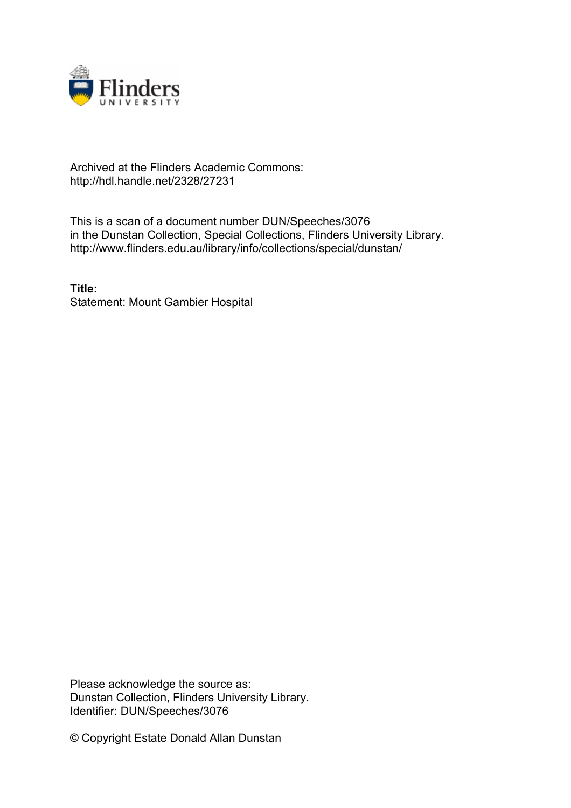

## Archived at the Flinders Academic Commons: http://hdl.handle.net/2328/27231

This is a scan of a document number DUN/Speeches/3076 in the Dunstan Collection, Special Collections, Flinders University Library. http://www.flinders.edu.au/library/info/collections/special/dunstan/

**Title:** Statement: Mount Gambier Hospital

Please acknowledge the source as: Dunstan Collection, Flinders University Library. Identifier: DUN/Speeches/3076

© Copyright Estate Donald Allan Dunstan